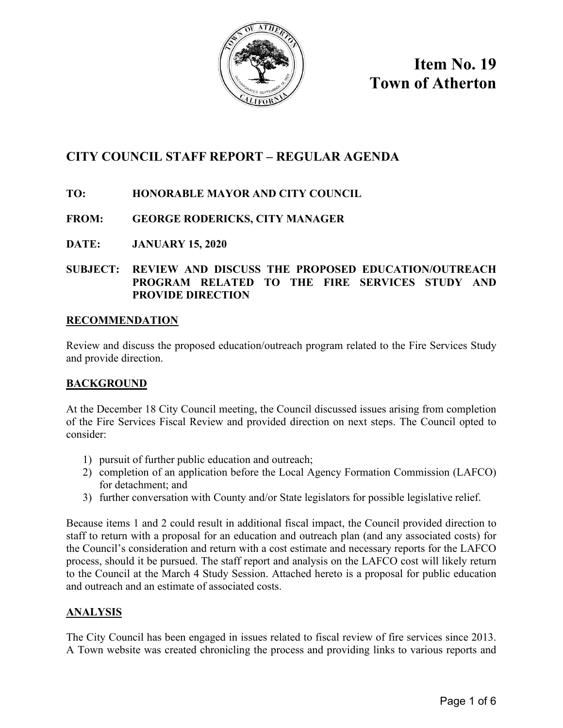

**Item No. 19 Town of Atherton** 

# **CITY COUNCIL STAFF REPORT – REGULAR AGENDA**

# **TO: HONORABLE MAYOR AND CITY COUNCIL**

# **FROM: GEORGE RODERICKS, CITY MANAGER**

**DATE: JANUARY 15, 2020** 

# **SUBJECT: REVIEW AND DISCUSS THE PROPOSED EDUCATION/OUTREACH PROGRAM RELATED TO THE FIRE SERVICES STUDY AND PROVIDE DIRECTION**

### **RECOMMENDATION**

Review and discuss the proposed education/outreach program related to the Fire Services Study and provide direction.

### **BACKGROUND**

At the December 18 City Council meeting, the Council discussed issues arising from completion of the Fire Services Fiscal Review and provided direction on next steps. The Council opted to consider:

- 1) pursuit of further public education and outreach;
- 2) completion of an application before the Local Agency Formation Commission (LAFCO) for detachment; and
- 3) further conversation with County and/or State legislators for possible legislative relief.

Because items 1 and 2 could result in additional fiscal impact, the Council provided direction to staff to return with a proposal for an education and outreach plan (and any associated costs) for the Council's consideration and return with a cost estimate and necessary reports for the LAFCO process, should it be pursued. The staff report and analysis on the LAFCO cost will likely return to the Council at the March 4 Study Session. Attached hereto is a proposal for public education and outreach and an estimate of associated costs.

### **ANALYSIS**

The City Council has been engaged in issues related to fiscal review of fire services since 2013. A Town website was created chronicling the process and providing links to various reports and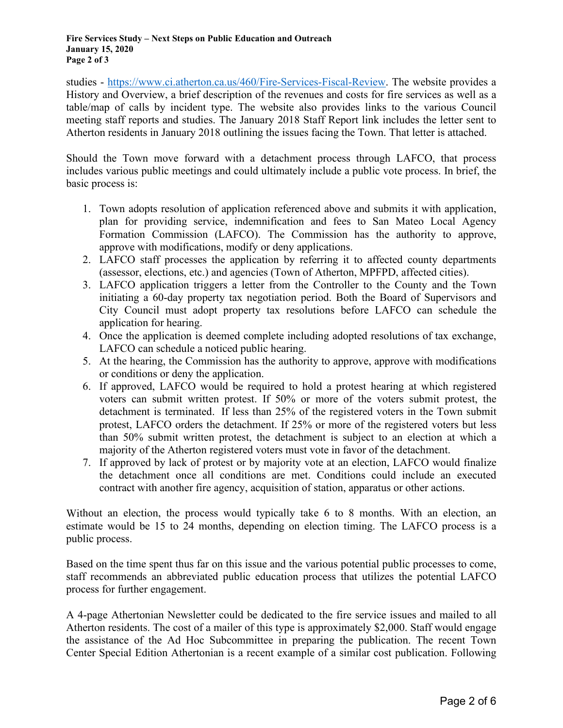studies - [https://www.ci.atherton.ca.us/460/Fire-Services-Fiscal-Review.](https://www.ci.atherton.ca.us/460/Fire-Services-Fiscal-Review) The website provides a History and Overview, a brief description of the revenues and costs for fire services as well as a table/map of calls by incident type. The website also provides links to the various Council meeting staff reports and studies. The January 2018 Staff Report link includes the letter sent to Atherton residents in January 2018 outlining the issues facing the Town. That letter is attached.

Should the Town move forward with a detachment process through LAFCO, that process includes various public meetings and could ultimately include a public vote process. In brief, the basic process is:

- 1. Town adopts resolution of application referenced above and submits it with application, plan for providing service, indemnification and fees to San Mateo Local Agency Formation Commission (LAFCO). The Commission has the authority to approve, approve with modifications, modify or deny applications.
- 2. LAFCO staff processes the application by referring it to affected county departments (assessor, elections, etc.) and agencies (Town of Atherton, MPFPD, affected cities).
- 3. LAFCO application triggers a letter from the Controller to the County and the Town initiating a 60-day property tax negotiation period. Both the Board of Supervisors and City Council must adopt property tax resolutions before LAFCO can schedule the application for hearing.
- 4. Once the application is deemed complete including adopted resolutions of tax exchange, LAFCO can schedule a noticed public hearing.
- 5. At the hearing, the Commission has the authority to approve, approve with modifications or conditions or deny the application.
- 6. If approved, LAFCO would be required to hold a protest hearing at which registered voters can submit written protest. If 50% or more of the voters submit protest, the detachment is terminated. If less than 25% of the registered voters in the Town submit protest, LAFCO orders the detachment. If 25% or more of the registered voters but less than 50% submit written protest, the detachment is subject to an election at which a majority of the Atherton registered voters must vote in favor of the detachment.
- 7. If approved by lack of protest or by majority vote at an election, LAFCO would finalize the detachment once all conditions are met. Conditions could include an executed contract with another fire agency, acquisition of station, apparatus or other actions.

Without an election, the process would typically take 6 to 8 months. With an election, an estimate would be 15 to 24 months, depending on election timing. The LAFCO process is a public process.

Based on the time spent thus far on this issue and the various potential public processes to come, staff recommends an abbreviated public education process that utilizes the potential LAFCO process for further engagement.

A 4-page Athertonian Newsletter could be dedicated to the fire service issues and mailed to all Atherton residents. The cost of a mailer of this type is approximately \$2,000. Staff would engage the assistance of the Ad Hoc Subcommittee in preparing the publication. The recent Town Center Special Edition Athertonian is a recent example of a similar cost publication. Following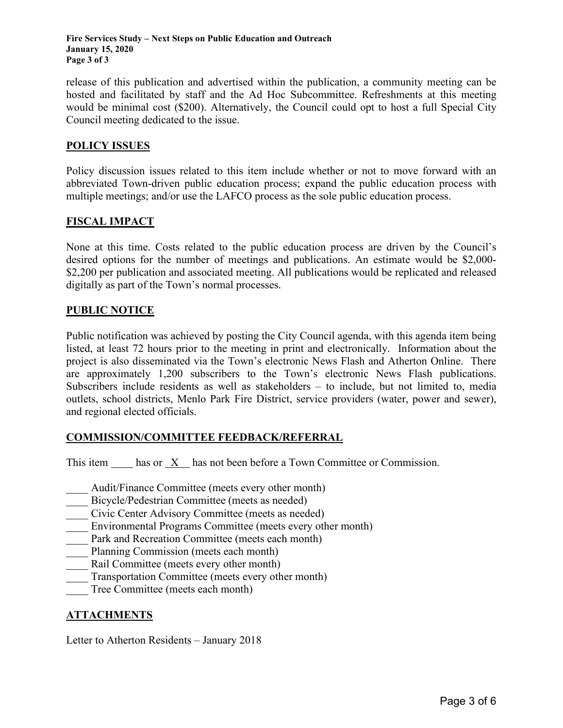**Fire Services Study – Next Steps on Public Education and Outreach January 15, 2020 Page 3 of 3** 

release of this publication and advertised within the publication, a community meeting can be hosted and facilitated by staff and the Ad Hoc Subcommittee. Refreshments at this meeting would be minimal cost (\$200). Alternatively, the Council could opt to host a full Special City Council meeting dedicated to the issue.

#### **POLICY ISSUES**

Policy discussion issues related to this item include whether or not to move forward with an abbreviated Town-driven public education process; expand the public education process with multiple meetings; and/or use the LAFCO process as the sole public education process.

#### **FISCAL IMPACT**

None at this time. Costs related to the public education process are driven by the Council's desired options for the number of meetings and publications. An estimate would be \$2,000- \$2,200 per publication and associated meeting. All publications would be replicated and released digitally as part of the Town's normal processes.

#### **PUBLIC NOTICE**

Public notification was achieved by posting the City Council agenda, with this agenda item being listed, at least 72 hours prior to the meeting in print and electronically. Information about the project is also disseminated via the Town's electronic News Flash and Atherton Online. There are approximately 1,200 subscribers to the Town's electronic News Flash publications. Subscribers include residents as well as stakeholders – to include, but not limited to, media outlets, school districts, Menlo Park Fire District, service providers (water, power and sewer), and regional elected officials.

### **COMMISSION/COMMITTEE FEEDBACK/REFERRAL**

This item has or X has not been before a Town Committee or Commission.

- Audit/Finance Committee (meets every other month)
- Bicycle/Pedestrian Committee (meets as needed)
- \_\_\_\_ Civic Center Advisory Committee (meets as needed)
- Environmental Programs Committee (meets every other month)
- Park and Recreation Committee (meets each month)
- Planning Commission (meets each month)
- Rail Committee (meets every other month)
- Transportation Committee (meets every other month)
- Tree Committee (meets each month)

### **ATTACHMENTS**

Letter to Atherton Residents – January 2018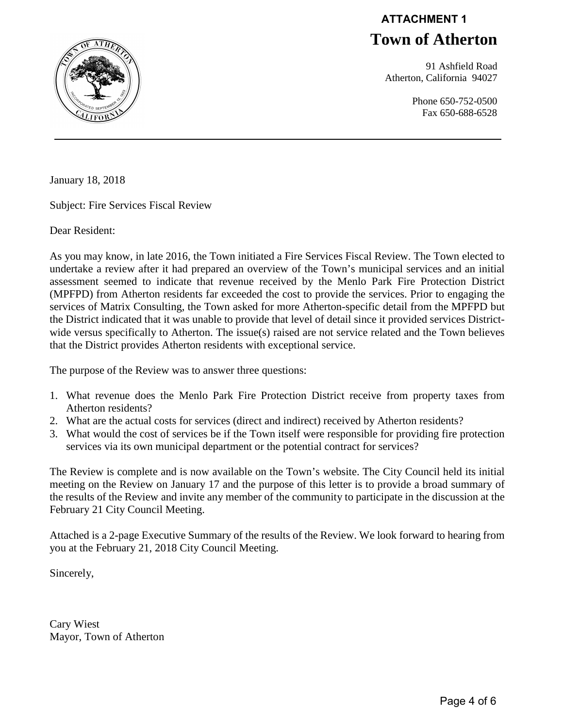# **Town of Atherton ATTACHMENT 1**

 91 Ashfield Road Atherton, California 94027

> Phone 650-752-0500 Fax 650-688-6528



January 18, 2018

Subject: Fire Services Fiscal Review

Dear Resident:

As you may know, in late 2016, the Town initiated a Fire Services Fiscal Review. The Town elected to undertake a review after it had prepared an overview of the Town's municipal services and an initial assessment seemed to indicate that revenue received by the Menlo Park Fire Protection District (MPFPD) from Atherton residents far exceeded the cost to provide the services. Prior to engaging the services of Matrix Consulting, the Town asked for more Atherton-specific detail from the MPFPD but the District indicated that it was unable to provide that level of detail since it provided services Districtwide versus specifically to Atherton. The issue(s) raised are not service related and the Town believes that the District provides Atherton residents with exceptional service.

The purpose of the Review was to answer three questions:

- 1. What revenue does the Menlo Park Fire Protection District receive from property taxes from Atherton residents?
- 2. What are the actual costs for services (direct and indirect) received by Atherton residents?
- 3. What would the cost of services be if the Town itself were responsible for providing fire protection services via its own municipal department or the potential contract for services?

The Review is complete and is now available on the Town's website. The City Council held its initial meeting on the Review on January 17 and the purpose of this letter is to provide a broad summary of the results of the Review and invite any member of the community to participate in the discussion at the February 21 City Council Meeting.

Attached is a 2-page Executive Summary of the results of the Review. We look forward to hearing from you at the February 21, 2018 City Council Meeting.

Sincerely,

Cary Wiest Mayor, Town of Atherton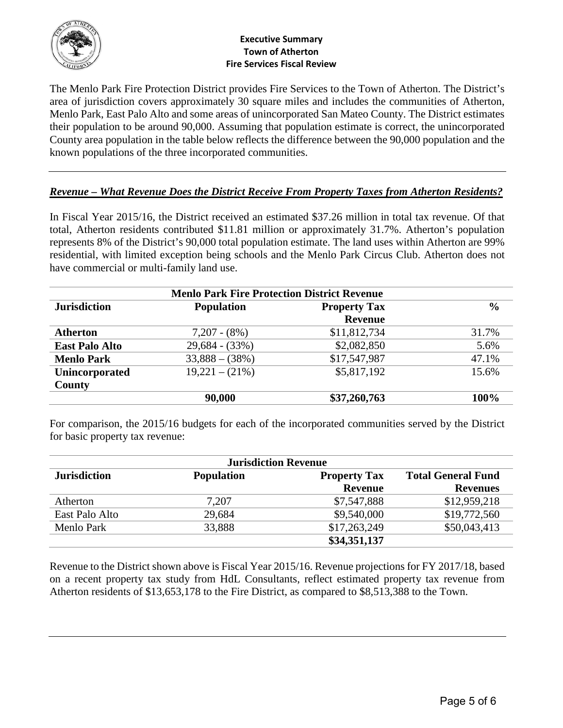

#### **Executive Summary Town of Atherton Fire Services Fiscal Review**

The Menlo Park Fire Protection District provides Fire Services to the Town of Atherton. The District's area of jurisdiction covers approximately 30 square miles and includes the communities of Atherton, Menlo Park, East Palo Alto and some areas of unincorporated San Mateo County. The District estimates their population to be around 90,000. Assuming that population estimate is correct, the unincorporated County area population in the table below reflects the difference between the 90,000 population and the known populations of the three incorporated communities.

# *Revenue – What Revenue Does the District Receive From Property Taxes from Atherton Residents?*

In Fiscal Year 2015/16, the District received an estimated \$37.26 million in total tax revenue. Of that total, Atherton residents contributed \$11.81 million or approximately 31.7%. Atherton's population represents 8% of the District's 90,000 total population estimate. The land uses within Atherton are 99% residential, with limited exception being schools and the Menlo Park Circus Club. Atherton does not have commercial or multi-family land use.

| <b>Menlo Park Fire Protection District Revenue</b> |                   |                     |               |  |  |  |
|----------------------------------------------------|-------------------|---------------------|---------------|--|--|--|
| <b>Jurisdiction</b>                                | <b>Population</b> | <b>Property Tax</b> | $\frac{6}{6}$ |  |  |  |
|                                                    |                   | <b>Revenue</b>      |               |  |  |  |
| <b>Atherton</b>                                    | $7,207 - (8%)$    | \$11,812,734        | 31.7%         |  |  |  |
| <b>East Palo Alto</b>                              | $29,684 - (33%)$  | \$2,082,850         | 5.6%          |  |  |  |
| <b>Menlo Park</b>                                  | $33,888 - (38\%)$ | \$17,547,987        | 47.1%         |  |  |  |
| Unincorporated                                     | $19,221 - (21\%)$ | \$5,817,192         | 15.6%         |  |  |  |
| County                                             |                   |                     |               |  |  |  |
|                                                    | 90,000            | \$37,260,763        | 100%          |  |  |  |

For comparison, the 2015/16 budgets for each of the incorporated communities served by the District for basic property tax revenue:

| <b>Jurisdiction Revenue</b> |                   |                     |                           |  |  |
|-----------------------------|-------------------|---------------------|---------------------------|--|--|
| <b>Jurisdiction</b>         | <b>Population</b> | <b>Property Tax</b> | <b>Total General Fund</b> |  |  |
|                             |                   | <b>Revenue</b>      | <b>Revenues</b>           |  |  |
| Atherton                    | 7,207             | \$7,547,888         | \$12,959,218              |  |  |
| East Palo Alto              | 29,684            | \$9,540,000         | \$19,772,560              |  |  |
| Menlo Park                  | 33,888            | \$17,263,249        | \$50,043,413              |  |  |
|                             |                   | \$34,351,137        |                           |  |  |

Revenue to the District shown above is Fiscal Year 2015/16. Revenue projections for FY 2017/18, based on a recent property tax study from HdL Consultants, reflect estimated property tax revenue from Atherton residents of \$13,653,178 to the Fire District, as compared to \$8,513,388 to the Town.